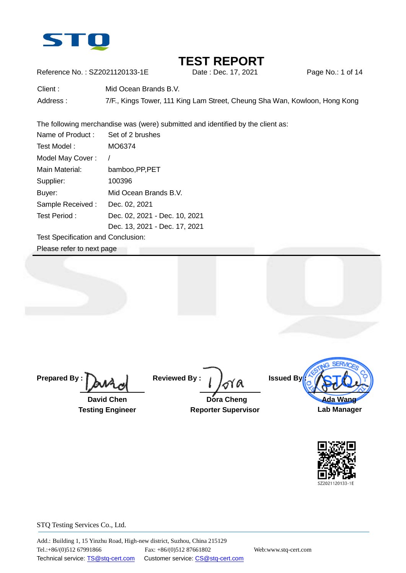

Reference No.: SZ2021120133-1E Date : Dec. 17, 2021 Page No.: 1 of 14

| Client:  | Mid Ocean Brands B.V.                                                      |
|----------|----------------------------------------------------------------------------|
| Address: | 7/F., Kings Tower, 111 King Lam Street, Cheung Sha Wan, Kowloon, Hong Kong |

The following merchandise was (were) submitted and identified by the client as:

| Name of Product: | Set of 2 brushes              |
|------------------|-------------------------------|
| Test Model :     | MO6374                        |
| Model May Cover: |                               |
| Main Material:   | bamboo, PP, PET               |
| Supplier:        | 100396                        |
| Buyer:           | Mid Ocean Brands B.V.         |
| Sample Received: | Dec. 02, 2021                 |
| Test Period:     | Dec. 02, 2021 - Dec. 10, 2021 |
|                  | Dec. 13, 2021 - Dec. 17, 2021 |

Test Specification and Conclusion:

Please refer to next page

**Prepared By :**

 **David Chen Testing Engineer**

**Reviewed By :**

 **Dora Cheng Reporter Supervisor**



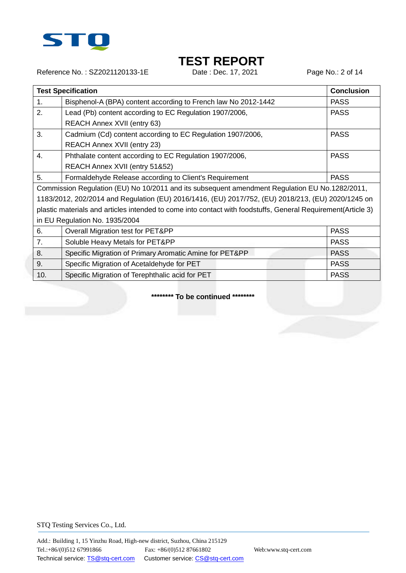

Reference No.: SZ2021120133-1E Date : Dec. 17, 2021 Page No.: 2 of 14

|     | <b>Test Specification</b>                                                                                     | <b>Conclusion</b> |
|-----|---------------------------------------------------------------------------------------------------------------|-------------------|
| 1.  | Bisphenol-A (BPA) content according to French law No 2012-1442                                                | <b>PASS</b>       |
| 2.  | Lead (Pb) content according to EC Regulation 1907/2006,                                                       | <b>PASS</b>       |
|     | <b>REACH Annex XVII (entry 63)</b>                                                                            |                   |
| 3.  | Cadmium (Cd) content according to EC Regulation 1907/2006,                                                    | <b>PASS</b>       |
|     | <b>REACH Annex XVII (entry 23)</b>                                                                            |                   |
| 4.  | Phthalate content according to EC Regulation 1907/2006,                                                       | <b>PASS</b>       |
|     | REACH Annex XVII (entry 51&52)                                                                                |                   |
| 5.  | Formaldehyde Release according to Client's Requirement                                                        | <b>PASS</b>       |
|     | Commission Regulation (EU) No 10/2011 and its subsequent amendment Regulation EU No.1282/2011,                |                   |
|     | 1183/2012, 202/2014 and Regulation (EU) 2016/1416, (EU) 2017/752, (EU) 2018/213, (EU) 2020/1245 on            |                   |
|     | plastic materials and articles intended to come into contact with foodstuffs, General Requirement (Article 3) |                   |
|     | in EU Regulation No. 1935/2004                                                                                |                   |
| 6.  | Overall Migration test for PET&PP                                                                             | <b>PASS</b>       |
| 7.  | Soluble Heavy Metals for PET&PP                                                                               | <b>PASS</b>       |
| 8.  | Specific Migration of Primary Aromatic Amine for PET&PP                                                       | <b>PASS</b>       |
| 9.  | Specific Migration of Acetaldehyde for PET                                                                    | <b>PASS</b>       |
| 10. | Specific Migration of Terephthalic acid for PET                                                               | <b>PASS</b>       |

**\*\*\*\*\*\*\*\* To be continued \*\*\*\*\*\*\*\***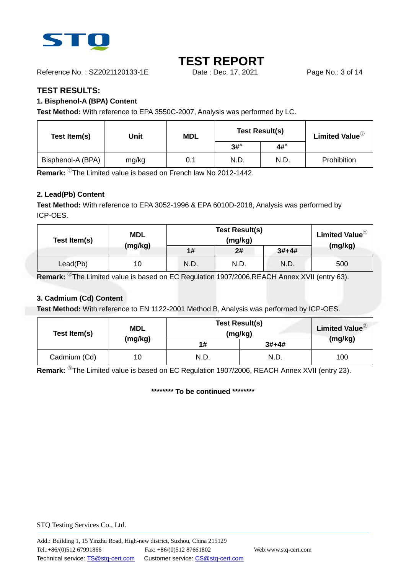

Reference No.: SZ2021120133-1E Date : Dec. 17, 2021 Page No.: 3 of 14

### **TEST RESULTS:**

### **1. Bisphenol-A (BPA) Content**

**Test Method:** With reference to EPA 3550C-2007, Analysis was performed by LC.

| Test Item(s)      | Unit  | <b>MDL</b> | <b>Test Result(s)</b> |             | Limited Value <sup>1</sup> |
|-------------------|-------|------------|-----------------------|-------------|----------------------------|
|                   |       |            | $3\sharp^4$           | $4\sharp^4$ |                            |
| Bisphenol-A (BPA) | mg/kg | 0.1        | N.D.                  | N.D.        | Prohibition                |

**Remark:** <sup>①</sup>The Limited value is based on French law No 2012-1442.

### **2. Lead(Pb) Content**

**Test Method:** With reference to EPA 3052-1996 & EPA 6010D-2018, Analysis was performed by ICP-OES.

| Test Item(s) | <b>MDL</b> |      | Limited Value <sup>2</sup> |         |         |
|--------------|------------|------|----------------------------|---------|---------|
|              | (mg/kg)    | 1#   | 2#                         | $3#+4#$ | (mg/kg) |
| Lead(Pb)     | 10         | N.D. | N.D.                       | N.D.    | 500     |

**Remark:** <sup>②</sup>The Limited value is based on EC Regulation 1907/2006,REACH Annex XVII (entry 63).

#### **3. Cadmium (Cd) Content**

**Test Method:** With reference to EN 1122-2001 Method B, Analysis was performed by ICP-OES.

| Test Item(s) | <b>MDL</b> | <b>Test Result(s)</b><br>(mg/kg) |         | <b>Limited Value</b> <sup>3</sup> |
|--------------|------------|----------------------------------|---------|-----------------------------------|
|              | (mg/kg)    | 1#                               | $3#+4#$ | (mg/kg)                           |
| Cadmium (Cd) | 10         | N.D.                             | N.D.    | 100                               |

**Remark:** <sup>③</sup>The Limited value is based on EC Regulation 1907/2006, REACH Annex XVII (entry 23).

**\*\*\*\*\*\*\*\* To be continued \*\*\*\*\*\*\*\***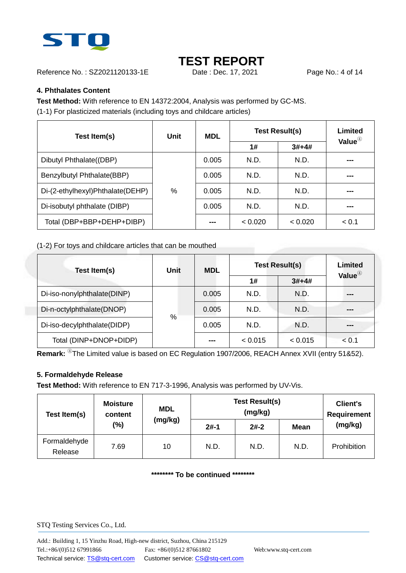

Reference No.: SZ2021120133-1E Date : Dec. 17, 2021 Page No.: 4 of 14

### **4. Phthalates Content**

**Test Method:** With reference to EN 14372:2004, Analysis was performed by GC-MS.

(1-1) For plasticized materials (including toys and childcare articles)

| Test Item(s)                     | Unit | <b>MDL</b> | <b>Test Result(s)</b> | Limited<br>Value $^{\circledR}$ |       |
|----------------------------------|------|------------|-----------------------|---------------------------------|-------|
|                                  |      |            | 1#                    | $3#+4#$                         |       |
| Dibutyl Phthalate((DBP)          |      | 0.005      | N.D.                  | N.D.                            | ---   |
| Benzylbutyl Phthalate(BBP)       |      | 0.005      | N.D.                  | N.D.                            | ---   |
| Di-(2-ethylhexyl)Phthalate(DEHP) | %    | 0.005      | N.D.                  | N.D.                            |       |
| Di-isobutyl phthalate (DIBP)     |      | 0.005      | N.D.                  | N.D.                            |       |
| Total (DBP+BBP+DEHP+DIBP)        |      | ---        | < 0.020               | < 0.020                         | < 0.1 |

(1-2) For toys and childcare articles that can be mouthed

| Test Item(s)                | <b>Unit</b> | <b>MDL</b> |         | <b>Test Result(s)</b> |                    |  |
|-----------------------------|-------------|------------|---------|-----------------------|--------------------|--|
|                             |             |            | 1#      | $3#+4#$               | Value <sup>4</sup> |  |
| Di-iso-nonylphthalate(DINP) |             | 0.005      | N.D.    | N.D.                  | ---                |  |
| Di-n-octylphthalate(DNOP)   |             | 0.005      | N.D.    | N.D.                  |                    |  |
| Di-iso-decylphthalate(DIDP) | %           | 0.005      | N.D.    | N.D.                  | ---                |  |
| Total (DINP+DNOP+DIDP)      |             | ---        | < 0.015 | < 0.015               | < 0.1              |  |

**Remark:** <sup>4</sup>The Limited value is based on EC Regulation 1907/2006, REACH Annex XVII (entry 51&52).

#### **5. Formaldehyde Release**

**Test Method:** With reference to EN 717-3-1996, Analysis was performed by UV-Vis.

| Test Item(s)            | <b>Moisture</b><br>content | <b>MDL</b> | <b>Test Result(s)</b> | <b>Client's</b><br><b>Requirement</b> |             |             |
|-------------------------|----------------------------|------------|-----------------------|---------------------------------------|-------------|-------------|
|                         | (%)                        | (mg/kg)    | $2#-1$                | $2#-2$                                | <b>Mean</b> | (mg/kg)     |
| Formaldehyde<br>Release | 7.69                       | 10         | N.D.                  | N.D.                                  | N.D.        | Prohibition |

**\*\*\*\*\*\*\*\* To be continued \*\*\*\*\*\*\*\***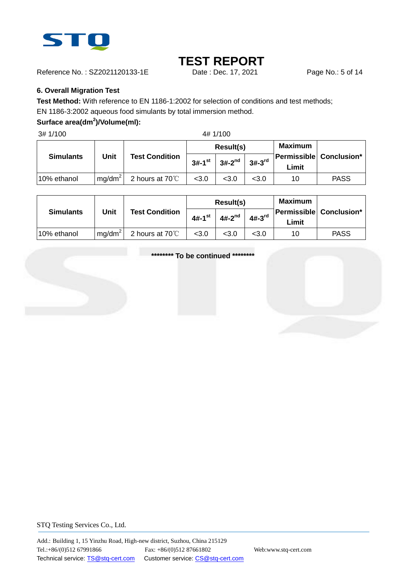

Reference No.: SZ2021120133-1E Date: Dec. 17, 2021 Page No.: 5 of 14

#### **6. Overall Migration Test**

**Test Method:** With reference to EN 1186-1:2002 for selection of conditions and test methods;

EN 1186-3:2002 aqueous food simulants by total immersion method.

### **Surface area(dm<sup>2</sup> )/Volume(ml):**

3# 1/100 4# 1/100

|                  |           |                           |                      | Result(s)   |                      | Maximum |                                |
|------------------|-----------|---------------------------|----------------------|-------------|----------------------|---------|--------------------------------|
| <b>Simulants</b> | Unit      | <b>Test Condition</b>     | $3#-1$ <sup>st</sup> | $3#-2^{nd}$ | $3#-3$ <sup>rd</sup> | Limit   | <b>Permissible Conclusion*</b> |
| 10% ethanol      | $mq/dm^2$ | 2 hours at 70 $\degree$ C | < 3.0                | <3.0        | < 3.0                | 10      | <b>PASS</b>                    |

|                  |                    |                           |                      | Result(s)   |          | <b>Maximum</b> |                                |
|------------------|--------------------|---------------------------|----------------------|-------------|----------|----------------|--------------------------------|
| <b>Simulants</b> | Unit               | <b>Test Condition</b>     | $4#-1$ <sup>st</sup> | $4#-2^{nd}$ | $4#-3rd$ | Limit          | <b>Permissible Conclusion*</b> |
| 10% ethanol      | ma/dm <sup>2</sup> | 2 hours at 70 $\degree$ C | < 3.0                | < 3.0       | < 3.0    | 10             | <b>PASS</b>                    |

**\*\*\*\*\*\*\*\* To be continued \*\*\*\*\*\*\*\***

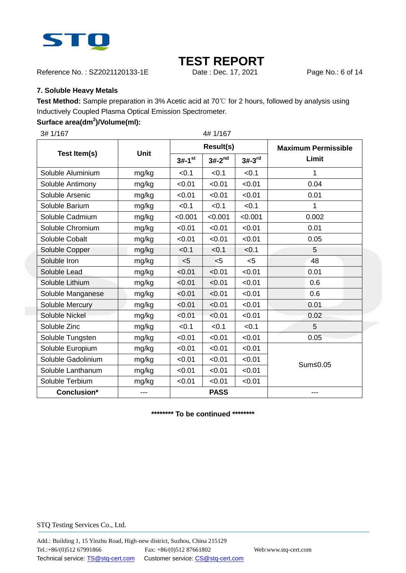

Reference No.: SZ2021120133-1E Date : Dec. 17, 2021 Page No.: 6 of 14

#### **7. Soluble Heavy Metals**

**Test Method:** Sample preparation in 3% Acetic acid at 70℃ for 2 hours, followed by analysis using Inductively Coupled Plasma Optical Emission Spectrometer.

### **Surface area(dm<sup>2</sup> )/Volume(ml):**

|       |                      |          |          | <b>Maximum Permissible</b> |
|-------|----------------------|----------|----------|----------------------------|
|       | $3#-1$ <sup>st</sup> | $3#-2nd$ | $3#-3rd$ | Limit                      |
| mg/kg | < 0.1                | < 0.1    | < 0.1    | 1                          |
| mg/kg | < 0.01               | < 0.01   | < 0.01   | 0.04                       |
| mg/kg | < 0.01               | < 0.01   | < 0.01   | 0.01                       |
| mg/kg | < 0.1                | < 0.1    | < 0.1    | 1                          |
| mg/kg | < 0.001              | < 0.001  | < 0.001  | 0.002                      |
| mg/kg | < 0.01               | < 0.01   | < 0.01   | 0.01                       |
| mg/kg | < 0.01               | < 0.01   | < 0.01   | 0.05                       |
| mg/kg | < 0.1                | < 0.1    | < 0.1    | 5                          |
| mg/kg | $<$ 5                | < 5      | < 5      | 48                         |
| mg/kg | < 0.01               | < 0.01   | < 0.01   | 0.01                       |
| mg/kg | < 0.01               | < 0.01   | < 0.01   | 0.6                        |
| mg/kg | < 0.01               | < 0.01   | < 0.01   | 0.6                        |
| mg/kg | < 0.01               | < 0.01   | < 0.01   | 0.01                       |
| mg/kg | < 0.01               | < 0.01   | < 0.01   | 0.02                       |
| mg/kg | < 0.1                | < 0.1    | < 0.1    | 5                          |
| mg/kg | < 0.01               | < 0.01   | < 0.01   | 0.05                       |
| mg/kg | < 0.01               | < 0.01   | < 0.01   |                            |
| mg/kg | < 0.01               | < 0.01   | < 0.01   | Sum≤0.05                   |
| mg/kg | < 0.01               | < 0.01   | < 0.01   |                            |
| mg/kg | < 0.01               | < 0.01   | < 0.01   |                            |
| ---   | <b>PASS</b>          |          |          | ---                        |
|       | Unit                 |          | 4# 1/167 | <b>Result(s)</b>           |

**\*\*\*\*\*\*\*\* To be continued \*\*\*\*\*\*\*\***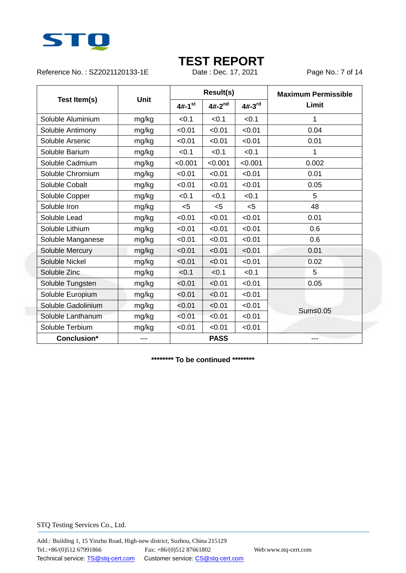

Reference No.: SZ2021120133-1E Date : Dec. 17, 2021 Page No.: 7 of 14

|                    | <b>Unit</b> | <b>Result(s)</b>     |             |          | <b>Maximum Permissible</b> |  |
|--------------------|-------------|----------------------|-------------|----------|----------------------------|--|
| Test Item(s)       |             | $4#-1$ <sup>st</sup> | $4#-2^{nd}$ | $4#-3rd$ | Limit                      |  |
| Soluble Aluminium  | mg/kg       | < 0.1                | < 0.1       | < 0.1    | 1                          |  |
| Soluble Antimony   | mg/kg       | < 0.01               | < 0.01      | < 0.01   | 0.04                       |  |
| Soluble Arsenic    | mg/kg       | < 0.01               | < 0.01      | < 0.01   | 0.01                       |  |
| Soluble Barium     | mg/kg       | < 0.1                | < 0.1       | < 0.1    | 1                          |  |
| Soluble Cadmium    | mg/kg       | < 0.001              | < 0.001     | < 0.001  | 0.002                      |  |
| Soluble Chromium   | mg/kg       | < 0.01               | < 0.01      | < 0.01   | 0.01                       |  |
| Soluble Cobalt     | mg/kg       | < 0.01               | < 0.01      | < 0.01   | 0.05                       |  |
| Soluble Copper     | mg/kg       | < 0.1                | < 0.1       | < 0.1    | 5                          |  |
| Soluble Iron       | mg/kg       | $5$                  | $5$         | < 5      | 48                         |  |
| Soluble Lead       | mg/kg       | < 0.01               | < 0.01      | < 0.01   | 0.01                       |  |
| Soluble Lithium    | mg/kg       | < 0.01               | < 0.01      | < 0.01   | 0.6                        |  |
| Soluble Manganese  | mg/kg       | < 0.01               | < 0.01      | < 0.01   | 0.6                        |  |
| Soluble Mercury    | mg/kg       | < 0.01               | < 0.01      | < 0.01   | 0.01                       |  |
| Soluble Nickel     | mg/kg       | < 0.01               | < 0.01      | < 0.01   | 0.02                       |  |
| Soluble Zinc       | mg/kg       | < 0.1                | < 0.1       | < 0.1    | 5                          |  |
| Soluble Tungsten   | mg/kg       | < 0.01               | < 0.01      | < 0.01   | 0.05                       |  |
| Soluble Europium   | mg/kg       | < 0.01               | < 0.01      | < 0.01   |                            |  |
| Soluble Gadolinium | mg/kg       | < 0.01               | < 0.01      | < 0.01   | Sum≤0.05                   |  |
| Soluble Lanthanum  | mg/kg       | < 0.01               | < 0.01      | < 0.01   |                            |  |
| Soluble Terbium    | mg/kg       | < 0.01               | < 0.01      | < 0.01   |                            |  |
| Conclusion*        | $---$       |                      | <b>PASS</b> |          | ---                        |  |

**\*\*\*\*\*\*\*\* To be continued \*\*\*\*\*\*\*\***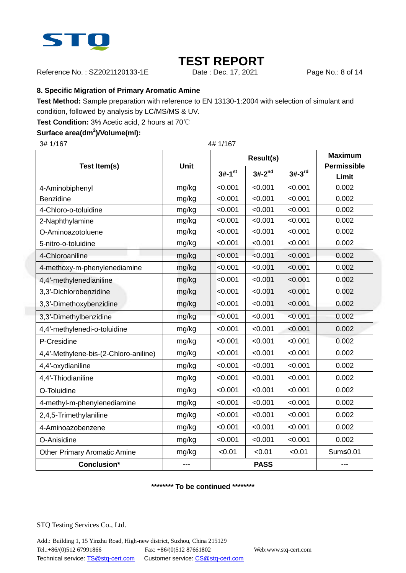

Reference No.: SZ2021120133-1E Date : Dec. 17, 2021 Page No.: 8 of 14

### **8. Specific Migration of Primary Aromatic Amine**

**Test Method:** Sample preparation with reference to EN 13130-1:2004 with selection of simulant and

condition, followed by analysis by LC/MS/MS & UV.

**Test Condition:** 3% Acetic acid, 2 hours at 70℃

### **Surface area(dm<sup>2</sup> )/Volume(ml):**

3# 1/167 4# 1/167

|                                       | Unit  |                      | <b>Result(s)</b> | <b>Maximum</b> |                             |
|---------------------------------------|-------|----------------------|------------------|----------------|-----------------------------|
| Test Item(s)                          |       | $3#-1$ <sup>st</sup> | $3#-2^{nd}$      | $3#-3rd$       | <b>Permissible</b><br>Limit |
| 4-Aminobiphenyl                       | mg/kg | < 0.001              | < 0.001          | < 0.001        | 0.002                       |
| Benzidine                             | mg/kg | < 0.001              | < 0.001          | < 0.001        | 0.002                       |
| 4-Chloro-o-toluidine                  | mg/kg | < 0.001              | < 0.001          | < 0.001        | 0.002                       |
| 2-Naphthylamine                       | mg/kg | < 0.001              | < 0.001          | < 0.001        | 0.002                       |
| O-Aminoazotoluene                     | mg/kg | < 0.001              | < 0.001          | < 0.001        | 0.002                       |
| 5-nitro-o-toluidine                   | mg/kg | < 0.001              | < 0.001          | < 0.001        | 0.002                       |
| 4-Chloroaniline                       | mg/kg | < 0.001              | < 0.001          | < 0.001        | 0.002                       |
| 4-methoxy-m-phenylenediamine          | mg/kg | < 0.001              | < 0.001          | < 0.001        | 0.002                       |
| 4,4'-methylenedianiline               | mg/kg | < 0.001              | < 0.001          | < 0.001        | 0.002                       |
| 3,3'-Dichlorobenzidine                | mg/kg | < 0.001              | < 0.001          | < 0.001        | 0.002                       |
| 3,3'-Dimethoxybenzidine               | mg/kg | < 0.001              | < 0.001          | < 0.001        | 0.002                       |
| 3,3'-Dimethylbenzidine                | mg/kg | < 0.001              | < 0.001          | < 0.001        | 0.002                       |
| 4,4'-methylenedi-o-toluidine          | mg/kg | < 0.001              | < 0.001          | < 0.001        | 0.002                       |
| P-Cresidine                           | mg/kg | < 0.001              | < 0.001          | < 0.001        | 0.002                       |
| 4,4'-Methylene-bis-(2-Chloro-aniline) | mg/kg | < 0.001              | < 0.001          | < 0.001        | 0.002                       |
| 4,4'-oxydianiline                     | mg/kg | < 0.001              | < 0.001          | < 0.001        | 0.002                       |
| 4,4'-Thiodianiline                    | mg/kg | < 0.001              | < 0.001          | < 0.001        | 0.002                       |
| O-Toluidine                           | mg/kg | < 0.001              | < 0.001          | < 0.001        | 0.002                       |
| 4-methyl-m-phenylenediamine           | mg/kg | < 0.001              | < 0.001          | < 0.001        | 0.002                       |
| 2,4,5-Trimethylaniline                | mg/kg | < 0.001              | < 0.001          | < 0.001        | 0.002                       |
| 4-Aminoazobenzene                     | mg/kg | < 0.001              | < 0.001          | < 0.001        | 0.002                       |
| O-Anisidine                           | mg/kg | < 0.001              | < 0.001          | < 0.001        | 0.002                       |
| <b>Other Primary Aromatic Amine</b>   | mg/kg | < 0.01               | < 0.01           | < 0.01         | Sum≤0.01                    |
| Conclusion*                           | ---   | <b>PASS</b>          |                  | ---            |                             |

#### **\*\*\*\*\*\*\*\* To be continued \*\*\*\*\*\*\*\***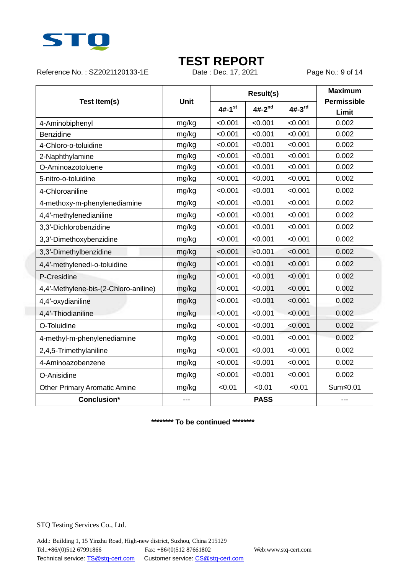

Reference No.: SZ2021120133-1E Date : Dec. 17, 2021 Page No.: 9 of 14

|                                       | <b>Unit</b> |                      | <b>Result(s)</b> | <b>Maximum</b><br><b>Permissible</b> |          |
|---------------------------------------|-------------|----------------------|------------------|--------------------------------------|----------|
| Test Item(s)                          |             | $4#-1$ <sup>st</sup> | $4#-2^{nd}$      | $4#-3rd$                             | Limit    |
| 4-Aminobiphenyl                       | mg/kg       | < 0.001              | < 0.001          | < 0.001                              | 0.002    |
| <b>Benzidine</b>                      | mg/kg       | < 0.001              | < 0.001          | < 0.001                              | 0.002    |
| 4-Chloro-o-toluidine                  | mg/kg       | < 0.001              | < 0.001          | < 0.001                              | 0.002    |
| 2-Naphthylamine                       | mg/kg       | < 0.001              | < 0.001          | < 0.001                              | 0.002    |
| O-Aminoazotoluene                     | mg/kg       | < 0.001              | < 0.001          | < 0.001                              | 0.002    |
| 5-nitro-o-toluidine                   | mg/kg       | < 0.001              | < 0.001          | < 0.001                              | 0.002    |
| 4-Chloroaniline                       | mg/kg       | < 0.001              | < 0.001          | < 0.001                              | 0.002    |
| 4-methoxy-m-phenylenediamine          | mg/kg       | < 0.001              | < 0.001          | < 0.001                              | 0.002    |
| 4,4'-methylenedianiline               | mg/kg       | < 0.001              | < 0.001          | < 0.001                              | 0.002    |
| 3,3'-Dichlorobenzidine                | mg/kg       | < 0.001              | < 0.001          | < 0.001                              | 0.002    |
| 3,3'-Dimethoxybenzidine               | mg/kg       | < 0.001              | < 0.001          | < 0.001                              | 0.002    |
| 3,3'-Dimethylbenzidine                | mg/kg       | < 0.001              | < 0.001          | < 0.001                              | 0.002    |
| 4,4'-methylenedi-o-toluidine          | mg/kg       | < 0.001              | < 0.001          | < 0.001                              | 0.002    |
| P-Cresidine                           | mg/kg       | < 0.001              | < 0.001          | < 0.001                              | 0.002    |
| 4,4'-Methylene-bis-(2-Chloro-aniline) | mg/kg       | < 0.001              | < 0.001          | < 0.001                              | 0.002    |
| 4,4'-oxydianiline                     | mg/kg       | < 0.001              | < 0.001          | < 0.001                              | 0.002    |
| 4,4'-Thiodianiline                    | mg/kg       | < 0.001              | < 0.001          | < 0.001                              | 0.002    |
| O-Toluidine                           | mg/kg       | < 0.001              | < 0.001          | < 0.001                              | 0.002    |
| 4-methyl-m-phenylenediamine           | mg/kg       | < 0.001              | < 0.001          | < 0.001                              | 0.002    |
| 2,4,5-Trimethylaniline                | mg/kg       | < 0.001              | < 0.001          | < 0.001                              | 0.002    |
| 4-Aminoazobenzene                     | mg/kg       | < 0.001              | < 0.001          | < 0.001                              | 0.002    |
| O-Anisidine                           | mg/kg       | < 0.001              | < 0.001          | < 0.001                              | 0.002    |
| <b>Other Primary Aromatic Amine</b>   | mg/kg       | < 0.01               | < 0.01           | < 0.01                               | Sum≤0.01 |
| <b>Conclusion*</b>                    |             | <b>PASS</b>          |                  |                                      |          |

**\*\*\*\*\*\*\*\* To be continued \*\*\*\*\*\*\*\***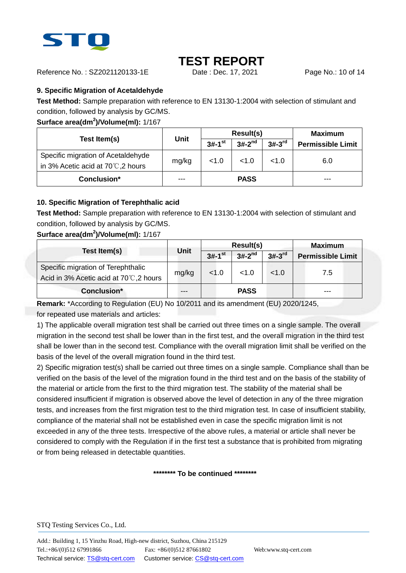

Reference No. : SZ2021120133-1E Date : Dec. 17, 2021 Page No.: 10 of 14

### **9. Specific Migration of Acetaldehyde**

**Test Method:** Sample preparation with reference to EN 13130-1:2004 with selection of stimulant and condition, followed by analysis by GC/MS.

### **Surface area(dm<sup>2</sup> )/Volume(ml):** 1/167

|                                                                                    | Unit  | Result(s)            |             |          | <b>Maximum</b>           |
|------------------------------------------------------------------------------------|-------|----------------------|-------------|----------|--------------------------|
| Test Item(s)                                                                       |       | $3#-1$ <sup>st</sup> | $3#-2^{nd}$ | $3#-3rd$ | <b>Permissible Limit</b> |
| Specific migration of Acetaldehyde<br>in 3% Acetic acid at 70 $\degree$ C, 2 hours | mg/kg | < 1.0                | < 1.0       | < 1.0    | 6.0                      |
| Conclusion*                                                                        |       |                      | <b>PASS</b> |          | ---                      |

### **10. Specific Migration of Terephthalic acid**

**Test Method:** Sample preparation with reference to EN 13130-1:2004 with selection of stimulant and condition, followed by analysis by GC/MS.

### **Surface area(dm<sup>2</sup> )/Volume(ml):** 1/167

|                                                                             | Unit  |                      | <b>Result(s)</b> | Maximum              |                          |
|-----------------------------------------------------------------------------|-------|----------------------|------------------|----------------------|--------------------------|
| Test Item(s)                                                                |       | $3#-1$ <sup>st</sup> | $3#-2^{nd}$      | $3#-3$ <sup>rd</sup> | <b>Permissible Limit</b> |
| Specific migration of Terephthalic<br>Acid in 3% Acetic acid at 70℃,2 hours | mg/kg | < 1.0                | < 1.0            | < 1.0                | 7.5                      |
| Conclusion*                                                                 | ---   |                      | <b>PASS</b>      |                      | ---                      |

**Remark:** \*According to Regulation (EU) No 10/2011 and its amendment (EU) 2020/1245, for repeated use materials and articles:

1) The applicable overall migration test shall be carried out three times on a single sample. The overall migration in the second test shall be lower than in the first test, and the overall migration in the third test shall be lower than in the second test. Compliance with the overall migration limit shall be verified on the basis of the level of the overall migration found in the third test.

2) Specific migration test(s) shall be carried out three times on a single sample. Compliance shall than be verified on the basis of the level of the migration found in the third test and on the basis of the stability of the material or article from the first to the third migration test. The stability of the material shall be considered insufficient if migration is observed above the level of detection in any of the three migration tests, and increases from the first migration test to the third migration test. In case of insufficient stability, compliance of the material shall not be established even in case the specific migration limit is not exceeded in any of the three tests. Irrespective of the above rules, a material or article shall never be considered to comply with the Regulation if in the first test a substance that is prohibited from migrating or from being released in detectable quantities.

#### **\*\*\*\*\*\*\*\* To be continued \*\*\*\*\*\*\*\***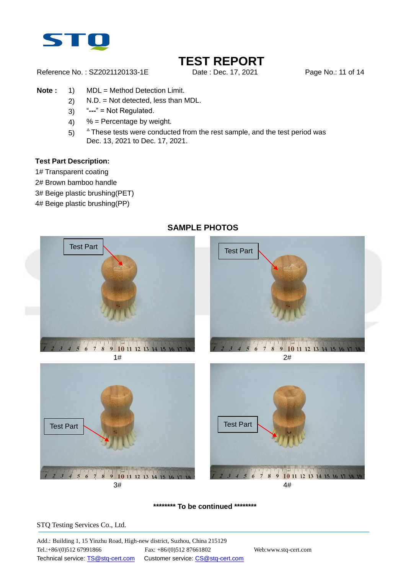

Reference No.: SZ2021120133-1E Date: Dec. 17, 2021 Page No.: 11 of 14

- **Note :** 1) MDL = Method Detection Limit.
	- 2) N.D. = Not detected, less than MDL.
	- 3) "**---**" = Not Regulated.
	- 4)  $%$  = Percentage by weight.
	- $5)$  $^{\circ}$  These tests were conducted from the rest sample, and the test period was Dec. 13, 2021 to Dec. 17, 2021.

#### **Test Part Description:**

- 1# Transparent coating
- 2# Brown bamboo handle
- 3# Beige plastic brushing(PET)
- 4# Beige plastic brushing(PP)



### **SAMPLE PHOTOS**

**\*\*\*\*\*\*\*\* To be continued \*\*\*\*\*\*\*\***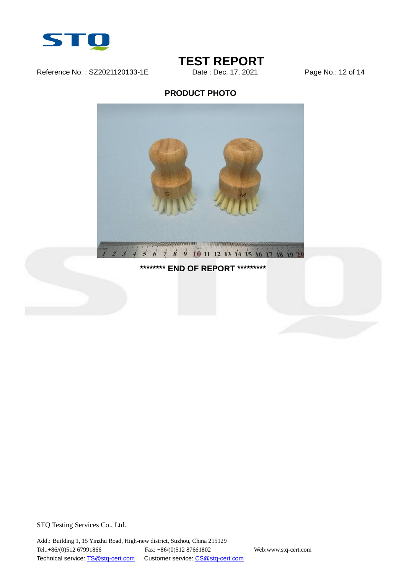

Reference No.: SZ2021120133-1E Date: Dec. 17, 2021 Page No.: 12 of 14

### **TEST REPORT**<br>Date : Dec. 17, 2021

### **PRODUCT PHOTO**



### **\*\*\*\*\*\*\*\* END OF REPORT \*\*\*\*\*\*\*\*\***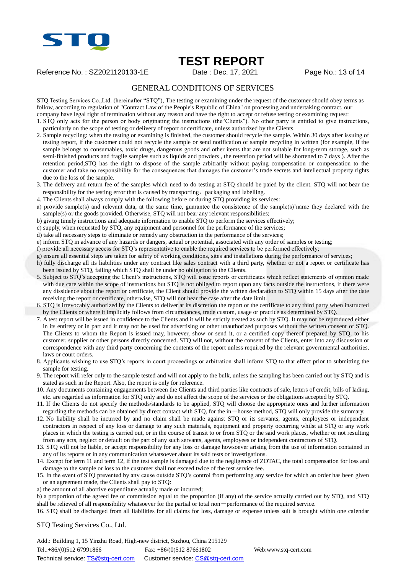

### **TEST REPORT**

Reference No. : SZ2021120133-1E Date : Dec. 17, 2021 Page No.: 13 of 14

### GENERAL CONDITIONS OF SERVICES

STQ Testing Services Co.,Ltd. (hereinafter "STQ"), The testing or examining under the request of the customer should obey terms as follow, according to regulation of "Contract Law of the People's Republic of China" on processing and undertaking contract, our company have legal right of termination without any reason and have the right to accept or refuse testing or examining request:

- 1. STQ only acts for the person or body originating the instructions (the"Clients"). No other party is entitled to give instructions, particularly on the scope of testing or delivery of report or certificate, unless authorized by the Clients.
- 2. Sample recycling: when the testing or examining is finished, the customer should recycle the sample. Within 30 days after issuing of testing report, if the customer could not recycle the sample or send notification of sample recycling in written (for example, if the sample belongs to consumables, toxic drugs, dangerous goods and other items that are not suitable for long-term storage, such as semi-finished products and fragile samples such as liquids and powders , the retention period will be shortened to 7 days ). After the retention period,STQ has the right to dispose of the sample arbitrarily without paying compensation or compensation to the customer and take no responsibility for the consequences that damages the customer's trade secrets and intellectual property rights due to the loss of the sample.
- 3. The delivery and return fee of the samples which need to do testing at STQ should be paied by the client. STQ will not bear the responsibility for the testing error that is caused by transporting, packaging and labelling.
- 4. The Clients shall always comply with the following before or during STQ providing its services:
- a) provide sample(s) and relevant data, at the same time, guarantee the consistence of the sample(s)'name they declared with the sample(s) or the goods provided. Otherwise, STO will not bear any relevant responsibilities;
- b) giving timely instructions and adequate information to enable STQ to perform the services effectively;
- c) supply, when requested by STQ, any equipment and personnel for the performance of the services;
- d) take all necessary steps to eliminate or remedy any obstruction in the performance of the services;
- e) inform STQ in advance of any hazards or dangers, actual or potential, associated with any order of samples or testing;
- f) provide all necessary access for STQ's representative to enable the required services to be performed effectively;
- g) ensure all essential steps are taken for safety of working conditions, sites and installations during the performance of services;
- h) fully discharge all its liabilities under any contract like sales contract with a third party, whether or not a report or certificate has been issued by STQ, failing which STQ shall be under no obligation to the Clients.
- 5. Subject to STQ's accepting the Client's instructions, STQ will issue reports or certificates which reflect statements of opinion made with due care within the scope of instructions but STQ is not obliged to report upon any facts outside the instructions, if there were any dissidence about the report or certificate, the Client should provide the written declaration to STQ within 15 days after the date receiving the report or certificate, otherwise, STQ will not hear the case after the date limit.
- 6. STQ is irrevocably authorized by the Clients to deliver at its discretion the report or the certificate to any third party when instructed by the Clients or where it implicitly follows from circumstances, trade custom, usage or practice as determined by STQ.
- 7. A test report will be issued in confidence to the Clients and it will be strictly treated as such by STQ. It may not be reproduced either in its entirety or in part and it may not be used for advertising or other unauthorized purposes without the written consent of STQ. The Clients to whom the Report is issued may, however, show or send it, or a certified copy thereof prepared by STQ, to his customer, supplier or other persons directly concerned. STQ will not, without the consent of the Clients, enter into any discussion or correspondence with any third party concerning the contents of the report unless required by the relevant governmental authorities, laws or court orders.
- 8. Applicants wishing to use STQ's reports in court proceedings or arbitration shall inform STQ to that effect prior to submitting the sample for testing.
- 9. The report will refer only to the sample tested and will not apply to the bulk, unless the sampling has been carried out by STQ and is stated as such in the Report. Also, the report is only for reference.
- 10. Any documents containing engagements between the Clients and third parties like contracts of sale, letters of credit, bills of lading, etc. are regarded as information for STQ only and do not affect the scope of the services or the obligations accepted by STQ.
- 11. If the Clients do not specify the methods/standards to be applied, STQ will choose the appropriate ones and further information regarding the methods can be obtained by direct contact with STQ, for the in-house method, STQ will only provide the summary.
- 12. No liability shall be incurred by and no claim shall be made against STQ or its servants, agents, employees or independent contractors in respect of any loss or damage to any such materials, equipment and property occurring whilst at STQ or any work places in which the testing is carried out, or in the course of transit to or from STQ or the said work places, whether or not resulting from any acts, neglect or default on the part of any such servants, agents, employees or independent contractors of STQ.
- 13. STQ will not be liable, or accept responsibility for any loss or damage howsoever arising from the use of information contained in any of its reports or in any communication whatsoever about its said tests or investigations.
- 14. Except for term 11 and term 12, if the test sample is damaged due to the negligence of ZOTAC, the total compensation for loss and damage to the sample or loss to the customer shall not exceed twice of the test service fee.
- 15. In the event of STQ prevented by any cause outside STQ's control from performing any service for which an order has been given or an agreement made, the Clients shall pay to STQ:
- a) the amount of all abortive expenditure actually made or incurred;
- b) a proportion of the agreed fee or commission equal to the proportion (if any) of the service actually carried out by STQ, and STQ shall be relieved of all responsibility whatsoever for the partial or total non-performance of the required service.

16. STQ shall be discharged from all liabilities for all claims for loss, damage or expense unless suit is brought within one calendar

STQ Testing Services Co., Ltd.

Add.: Building 1, 15 Yinzhu Road, High-new district, Suzhou, China 215129 Tel.:+86/(0)512 67991866 Fax: +86/(0)512 87661802 Web:www.stq-cert.com Technical service: TS@stq-cert.com Customer service: CS@stq-cert.com